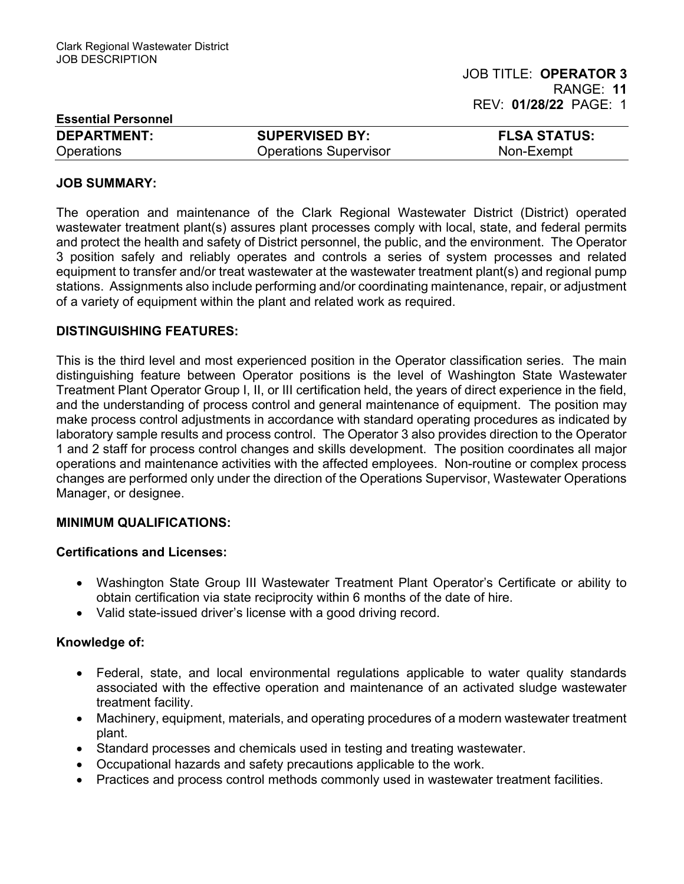| <b>Essential Personnel</b> |                              |                     |
|----------------------------|------------------------------|---------------------|
| <b>DEPARTMENT:</b>         | <b>SUPERVISED BY:</b>        | <b>FLSA STATUS:</b> |
| <b>Operations</b>          | <b>Operations Supervisor</b> | Non-Exempt          |

#### JOB SUMMARY:

The operation and maintenance of the Clark Regional Wastewater District (District) operated wastewater treatment plant(s) assures plant processes comply with local, state, and federal permits and protect the health and safety of District personnel, the public, and the environment. The Operator 3 position safely and reliably operates and controls a series of system processes and related equipment to transfer and/or treat wastewater at the wastewater treatment plant(s) and regional pump stations. Assignments also include performing and/or coordinating maintenance, repair, or adjustment of a variety of equipment within the plant and related work as required.

#### DISTINGUISHING FEATURES:

This is the third level and most experienced position in the Operator classification series. The main distinguishing feature between Operator positions is the level of Washington State Wastewater Treatment Plant Operator Group I, II, or III certification held, the years of direct experience in the field, and the understanding of process control and general maintenance of equipment. The position may make process control adjustments in accordance with standard operating procedures as indicated by laboratory sample results and process control. The Operator 3 also provides direction to the Operator 1 and 2 staff for process control changes and skills development. The position coordinates all major operations and maintenance activities with the affected employees. Non-routine or complex process changes are performed only under the direction of the Operations Supervisor, Wastewater Operations Manager, or designee.

### MINIMUM QUALIFICATIONS:

#### Certifications and Licenses:

- Washington State Group III Wastewater Treatment Plant Operator's Certificate or ability to obtain certification via state reciprocity within 6 months of the date of hire.
- Valid state-issued driver's license with a good driving record.

### Knowledge of:

- Federal, state, and local environmental regulations applicable to water quality standards associated with the effective operation and maintenance of an activated sludge wastewater treatment facility.
- Machinery, equipment, materials, and operating procedures of a modern wastewater treatment plant.
- Standard processes and chemicals used in testing and treating wastewater.
- Occupational hazards and safety precautions applicable to the work.
- Practices and process control methods commonly used in wastewater treatment facilities.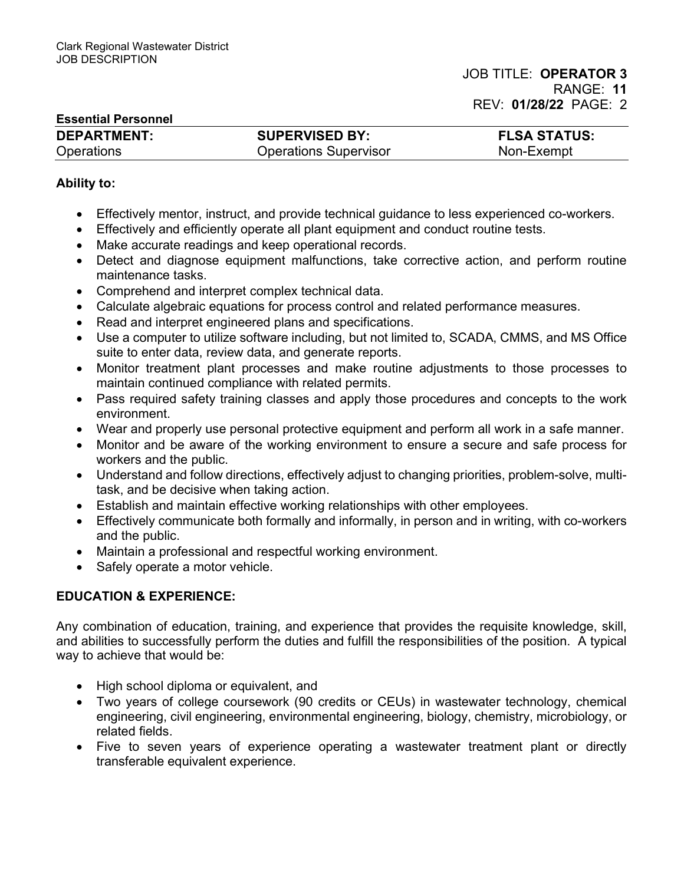| <b>Essential Personnel</b> |                              |                     |
|----------------------------|------------------------------|---------------------|
| <b>DEPARTMENT:</b>         | <b>SUPERVISED BY:</b>        | <b>FLSA STATUS:</b> |
| <b>Operations</b>          | <b>Operations Supervisor</b> | Non-Exempt          |

## Ability to:

- Effectively mentor, instruct, and provide technical guidance to less experienced co-workers.
- Effectively and efficiently operate all plant equipment and conduct routine tests.
- Make accurate readings and keep operational records.
- Detect and diagnose equipment malfunctions, take corrective action, and perform routine maintenance tasks.
- Comprehend and interpret complex technical data.
- Calculate algebraic equations for process control and related performance measures.
- Read and interpret engineered plans and specifications.
- Use a computer to utilize software including, but not limited to, SCADA, CMMS, and MS Office suite to enter data, review data, and generate reports.
- Monitor treatment plant processes and make routine adjustments to those processes to maintain continued compliance with related permits.
- Pass required safety training classes and apply those procedures and concepts to the work environment.
- Wear and properly use personal protective equipment and perform all work in a safe manner.
- Monitor and be aware of the working environment to ensure a secure and safe process for workers and the public.
- Understand and follow directions, effectively adjust to changing priorities, problem-solve, multitask, and be decisive when taking action.
- Establish and maintain effective working relationships with other employees.
- Effectively communicate both formally and informally, in person and in writing, with co-workers and the public.
- Maintain a professional and respectful working environment.
- Safely operate a motor vehicle.

### EDUCATION & EXPERIENCE:

Any combination of education, training, and experience that provides the requisite knowledge, skill, and abilities to successfully perform the duties and fulfill the responsibilities of the position. A typical way to achieve that would be:

- High school diploma or equivalent, and
- Two years of college coursework (90 credits or CEUs) in wastewater technology, chemical engineering, civil engineering, environmental engineering, biology, chemistry, microbiology, or related fields.
- Five to seven years of experience operating a wastewater treatment plant or directly transferable equivalent experience.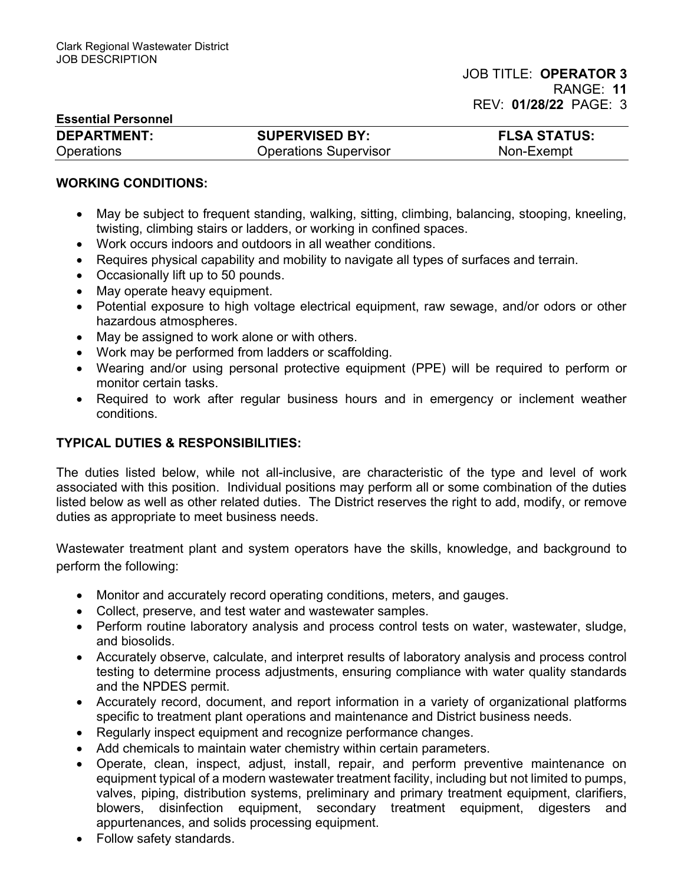| <b>Essential Personnel</b> |  |  |
|----------------------------|--|--|
| <b>DEDADTMENT.</b>         |  |  |

| <b>DEPARTMENT:</b> | <b>SUPERVISED BY:</b>        | <b>FLSA STATUS:</b> |
|--------------------|------------------------------|---------------------|
| Operations         | <b>Operations Supervisor</b> | Non-Exempt          |

### WORKING CONDITIONS:

- May be subject to frequent standing, walking, sitting, climbing, balancing, stooping, kneeling, twisting, climbing stairs or ladders, or working in confined spaces.
- Work occurs indoors and outdoors in all weather conditions.
- Requires physical capability and mobility to navigate all types of surfaces and terrain.
- Occasionally lift up to 50 pounds.
- May operate heavy equipment.
- Potential exposure to high voltage electrical equipment, raw sewage, and/or odors or other hazardous atmospheres.
- May be assigned to work alone or with others.
- Work may be performed from ladders or scaffolding.
- Wearing and/or using personal protective equipment (PPE) will be required to perform or monitor certain tasks.
- Required to work after regular business hours and in emergency or inclement weather conditions.

### TYPICAL DUTIES & RESPONSIBILITIES:

The duties listed below, while not all-inclusive, are characteristic of the type and level of work associated with this position. Individual positions may perform all or some combination of the duties listed below as well as other related duties. The District reserves the right to add, modify, or remove duties as appropriate to meet business needs.

Wastewater treatment plant and system operators have the skills, knowledge, and background to perform the following:

- Monitor and accurately record operating conditions, meters, and gauges.
- Collect, preserve, and test water and wastewater samples.
- Perform routine laboratory analysis and process control tests on water, wastewater, sludge, and biosolids.
- Accurately observe, calculate, and interpret results of laboratory analysis and process control testing to determine process adjustments, ensuring compliance with water quality standards and the NPDES permit.
- Accurately record, document, and report information in a variety of organizational platforms specific to treatment plant operations and maintenance and District business needs.
- Regularly inspect equipment and recognize performance changes.
- Add chemicals to maintain water chemistry within certain parameters.
- Operate, clean, inspect, adjust, install, repair, and perform preventive maintenance on equipment typical of a modern wastewater treatment facility, including but not limited to pumps, valves, piping, distribution systems, preliminary and primary treatment equipment, clarifiers, blowers, disinfection equipment, secondary treatment equipment, digesters and appurtenances, and solids processing equipment.
- Follow safety standards.